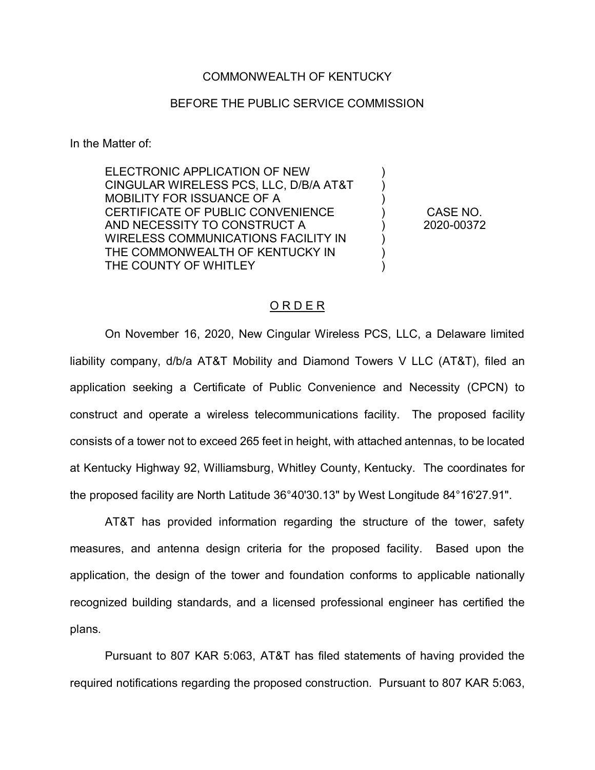## COMMONWEALTH OF KENTUCKY

## BEFORE THE PUBLIC SERVICE COMMISSION

In the Matter of:

ELECTRONIC APPLICATION OF NEW CINGULAR WIRELESS PCS, LLC, D/B/A AT&T MOBILITY FOR ISSUANCE OF A CERTIFICATE OF PUBLIC CONVENIENCE AND NECESSITY TO CONSTRUCT A WIRELESS COMMUNICATIONS FACILITY IN THE COMMONWEALTH OF KENTUCKY IN THE COUNTY OF WHITLEY

CASE NO. 2020-00372

) ) ) ) ) ) ) )

## O R D E R

On November 16, 2020, New Cingular Wireless PCS, LLC, a Delaware limited liability company, d/b/a AT&T Mobility and Diamond Towers V LLC (AT&T), filed an application seeking a Certificate of Public Convenience and Necessity (CPCN) to construct and operate a wireless telecommunications facility. The proposed facility consists of a tower not to exceed 265 feet in height, with attached antennas, to be located at Kentucky Highway 92, Williamsburg, Whitley County, Kentucky. The coordinates for the proposed facility are North Latitude 36°40'30.13" by West Longitude 84°16'27.91".

AT&T has provided information regarding the structure of the tower, safety measures, and antenna design criteria for the proposed facility. Based upon the application, the design of the tower and foundation conforms to applicable nationally recognized building standards, and a licensed professional engineer has certified the plans.

Pursuant to 807 KAR 5:063, AT&T has filed statements of having provided the required notifications regarding the proposed construction. Pursuant to 807 KAR 5:063,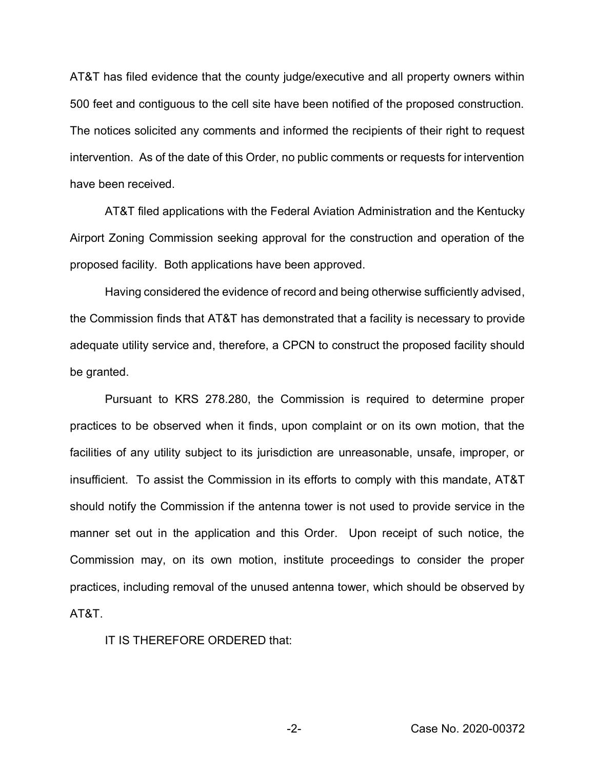AT&T has filed evidence that the county judge/executive and all property owners within 500 feet and contiguous to the cell site have been notified of the proposed construction. The notices solicited any comments and informed the recipients of their right to request intervention. As of the date of this Order, no public comments or requests for intervention have been received.

AT&T filed applications with the Federal Aviation Administration and the Kentucky Airport Zoning Commission seeking approval for the construction and operation of the proposed facility. Both applications have been approved.

Having considered the evidence of record and being otherwise sufficiently advised, the Commission finds that AT&T has demonstrated that a facility is necessary to provide adequate utility service and, therefore, a CPCN to construct the proposed facility should be granted.

Pursuant to KRS 278.280, the Commission is required to determine proper practices to be observed when it finds, upon complaint or on its own motion, that the facilities of any utility subject to its jurisdiction are unreasonable, unsafe, improper, or insufficient. To assist the Commission in its efforts to comply with this mandate, AT&T should notify the Commission if the antenna tower is not used to provide service in the manner set out in the application and this Order. Upon receipt of such notice, the Commission may, on its own motion, institute proceedings to consider the proper practices, including removal of the unused antenna tower, which should be observed by AT&T.

IT IS THEREFORE ORDERED that: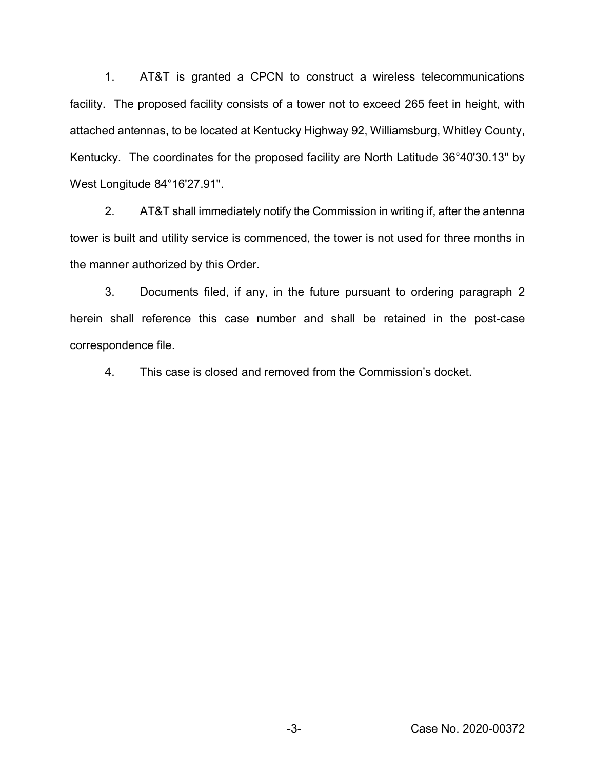1. AT&T is granted a CPCN to construct a wireless telecommunications facility. The proposed facility consists of a tower not to exceed 265 feet in height, with attached antennas, to be located at Kentucky Highway 92, Williamsburg, Whitley County, Kentucky. The coordinates for the proposed facility are North Latitude 36°40'30.13" by West Longitude 84°16'27.91".

2. AT&T shall immediately notify the Commission in writing if, after the antenna tower is built and utility service is commenced, the tower is not used for three months in the manner authorized by this Order.

3. Documents filed, if any, in the future pursuant to ordering paragraph 2 herein shall reference this case number and shall be retained in the post-case correspondence file.

4. This case is closed and removed from the Commission's docket.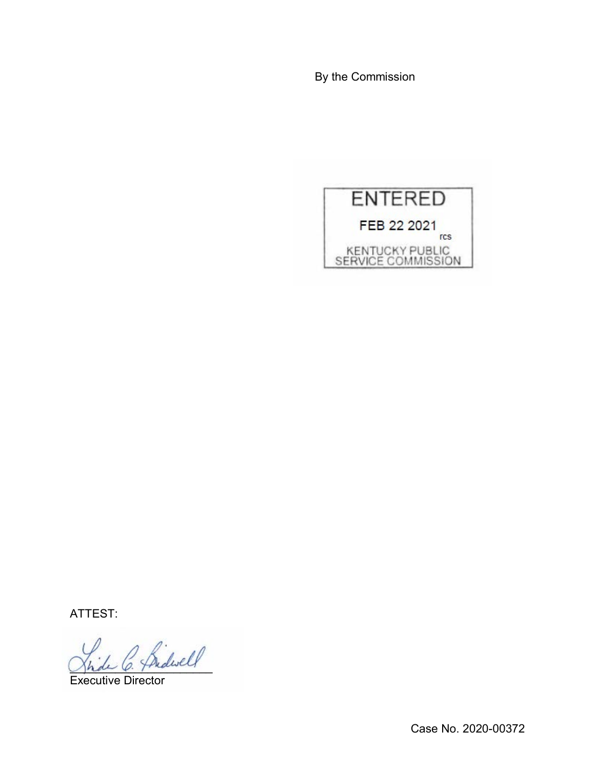By the Commission



ATTEST:

 $\sim$  Sidwell

Executive Director

Case No. 2020-00372